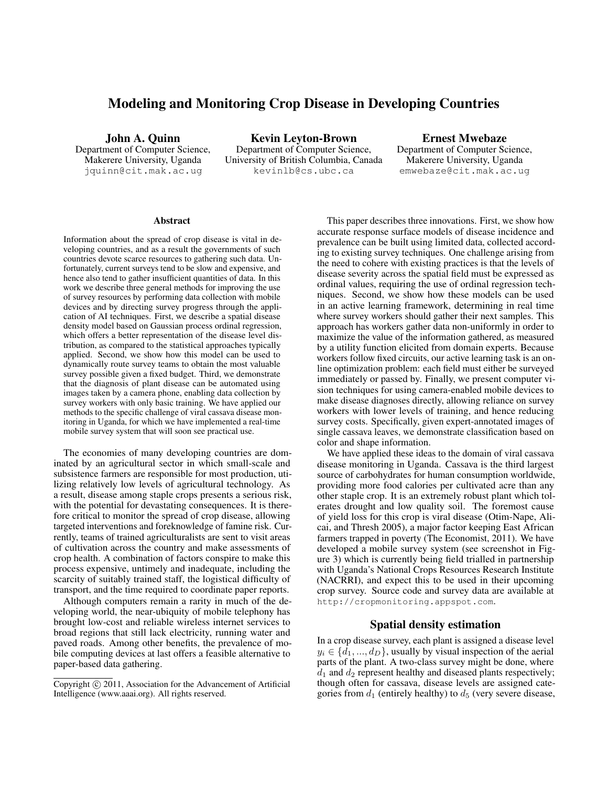# Modeling and Monitoring Crop Disease in Developing Countries

John A. Quinn Department of Computer Science, Makerere University, Uganda jquinn@cit.mak.ac.ug

Kevin Leyton-Brown Department of Computer Science, University of British Columbia, Canada kevinlb@cs.ubc.ca

Ernest Mwebaze Department of Computer Science, Makerere University, Uganda emwebaze@cit.mak.ac.ug

#### Abstract

Information about the spread of crop disease is vital in developing countries, and as a result the governments of such countries devote scarce resources to gathering such data. Unfortunately, current surveys tend to be slow and expensive, and hence also tend to gather insufficient quantities of data. In this work we describe three general methods for improving the use of survey resources by performing data collection with mobile devices and by directing survey progress through the application of AI techniques. First, we describe a spatial disease density model based on Gaussian process ordinal regression, which offers a better representation of the disease level distribution, as compared to the statistical approaches typically applied. Second, we show how this model can be used to dynamically route survey teams to obtain the most valuable survey possible given a fixed budget. Third, we demonstrate that the diagnosis of plant disease can be automated using images taken by a camera phone, enabling data collection by survey workers with only basic training. We have applied our methods to the specific challenge of viral cassava disease monitoring in Uganda, for which we have implemented a real-time mobile survey system that will soon see practical use.

The economies of many developing countries are dominated by an agricultural sector in which small-scale and subsistence farmers are responsible for most production, utilizing relatively low levels of agricultural technology. As a result, disease among staple crops presents a serious risk, with the potential for devastating consequences. It is therefore critical to monitor the spread of crop disease, allowing targeted interventions and foreknowledge of famine risk. Currently, teams of trained agriculturalists are sent to visit areas of cultivation across the country and make assessments of crop health. A combination of factors conspire to make this process expensive, untimely and inadequate, including the scarcity of suitably trained staff, the logistical difficulty of transport, and the time required to coordinate paper reports.

Although computers remain a rarity in much of the developing world, the near-ubiquity of mobile telephony has brought low-cost and reliable wireless internet services to broad regions that still lack electricity, running water and paved roads. Among other benefits, the prevalence of mobile computing devices at last offers a feasible alternative to paper-based data gathering.

This paper describes three innovations. First, we show how accurate response surface models of disease incidence and prevalence can be built using limited data, collected according to existing survey techniques. One challenge arising from the need to cohere with existing practices is that the levels of disease severity across the spatial field must be expressed as ordinal values, requiring the use of ordinal regression techniques. Second, we show how these models can be used in an active learning framework, determining in real time where survey workers should gather their next samples. This approach has workers gather data non-uniformly in order to maximize the value of the information gathered, as measured by a utility function elicited from domain experts. Because workers follow fixed circuits, our active learning task is an online optimization problem: each field must either be surveyed immediately or passed by. Finally, we present computer vision techniques for using camera-enabled mobile devices to make disease diagnoses directly, allowing reliance on survey workers with lower levels of training, and hence reducing survey costs. Specifically, given expert-annotated images of single cassava leaves, we demonstrate classification based on color and shape information.

We have applied these ideas to the domain of viral cassava disease monitoring in Uganda. Cassava is the third largest source of carbohydrates for human consumption worldwide, providing more food calories per cultivated acre than any other staple crop. It is an extremely robust plant which tolerates drought and low quality soil. The foremost cause of yield loss for this crop is viral disease (Otim-Nape, Alicai, and Thresh 2005), a major factor keeping East African farmers trapped in poverty (The Economist, 2011). We have developed a mobile survey system (see screenshot in Figure 3) which is currently being field trialled in partnership with Uganda's National Crops Resources Research Institute (NACRRI), and expect this to be used in their upcoming crop survey. Source code and survey data are available at http://cropmonitoring.appspot.com.

## Spatial density estimation

In a crop disease survey, each plant is assigned a disease level  $y_i \in \{d_1, ..., d_D\}$ , usually by visual inspection of the aerial parts of the plant. A two-class survey might be done, where  $d_1$  and  $d_2$  represent healthy and diseased plants respectively; though often for cassava, disease levels are assigned categories from  $d_1$  (entirely healthy) to  $d_5$  (very severe disease,

Copyright (c) 2011, Association for the Advancement of Artificial Intelligence (www.aaai.org). All rights reserved.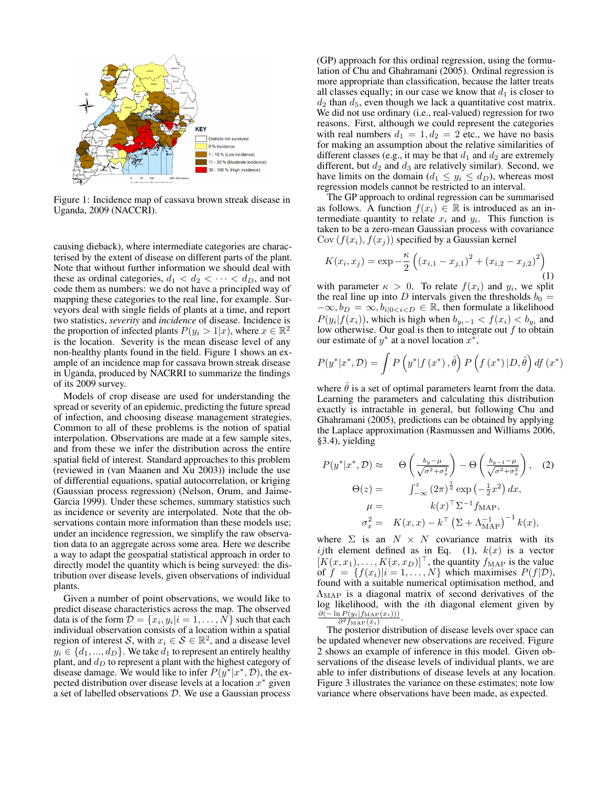

Figure 1: Incidence map of cassava brown streak disease in Uganda, 2009 (NACCRI).

causing dieback), where intermediate categories are characterised by the extent of disease on different parts of the plant. Note that without further information we should deal with these as ordinal categories,  $d_1 < d_2 < \cdots < d_D$ , and not code them as numbers: we do not have a principled way of mapping these categories to the real line, for example. Surveyors deal with single fields of plants at a time, and report two statistics, *severity* and *incidence* of disease. Incidence is the proportion of infected plants  $P(y_i > 1|x)$ , where  $x \in \mathbb{R}^2$ is the location. Severity is the mean disease level of any non-healthy plants found in the field. Figure 1 shows an example of an incidence map for cassava brown streak disease in Uganda, produced by NACRRI to summarize the findings of its 2009 survey.

Models of crop disease are used for understanding the spread or severity of an epidemic, predicting the future spread of infection, and choosing disease management strategies. Common to all of these problems is the notion of spatial interpolation. Observations are made at a few sample sites, and from these we infer the distribution across the entire spatial field of interest. Standard approaches to this problem (reviewed in (van Maanen and Xu 2003)) include the use of differential equations, spatial autocorrelation, or kriging (Gaussian process regression) (Nelson, Orum, and Jaime-Garcia 1999). Under these schemes, summary statistics such as incidence or severity are interpolated. Note that the observations contain more information than these models use; under an incidence regression, we simplify the raw observation data to an aggregate across some area. Here we describe a way to adapt the geospatial statistical approach in order to directly model the quantity which is being surveyed: the distribution over disease levels, given observations of individual plants.

Given a number of point observations, we would like to predict disease characteristics across the map. The observed data is of the form  $D = \{x_i, y_i | i = 1, ..., N\}$  such that each individual observation consists of a location within a spatial region of interest S, with  $x_i \in S \in \mathbb{R}^2$ , and a disease level  $y_i \in \{d_1, ..., d_D\}$ . We take  $d_1$  to represent an entirely healthy plant, and  $d_D$  to represent a plant with the highest category of disease damage. We would like to infer  $P(y^*|x^*, D)$ , the expected distribution over disease levels at a location  $x^*$  given a set of labelled observations D. We use a Gaussian process

(GP) approach for this ordinal regression, using the formulation of Chu and Ghahramani (2005). Ordinal regression is more appropriate than classification, because the latter treats all classes equally; in our case we know that  $d_1$  is closer to  $d_2$  than  $d_5$ , even though we lack a quantitative cost matrix. We did not use ordinary (i.e., real-valued) regression for two reasons. First, although we could represent the categories with real numbers  $d_1 = 1, d_2 = 2$  etc., we have no basis for making an assumption about the relative similarities of different classes (e.g., it may be that  $d_1$  and  $d_2$  are extremely different, but  $d_2$  and  $d_3$  are relatively similar). Second, we have limits on the domain  $(d_1 \leq y_i \leq d_D)$ , whereas most regression models cannot be restricted to an interval.

The GP approach to ordinal regression can be summarised as follows. A function  $f(x_i) \in \mathbb{R}$  is introduced as an intermediate quantity to relate  $x_i$  and  $y_i$ . This function is taken to be a zero-mean Gaussian process with covariance  $Cov(f(x_i), f(x_j))$  specified by a Gaussian kernel

$$
K(x_i, x_j) = \exp -\frac{\kappa}{2} \left( (x_{i,1} - x_{j,1})^2 + (x_{i,2} - x_{j,2})^2 \right)
$$
\n(1)

with parameter  $\kappa > 0$ . To relate  $f(x_i)$  and  $y_i$ , we split the real line up into D intervals given the thresholds  $b_0 =$  $-\infty$ ,  $b_D = \infty$ ,  $b_{i|0 \le i \le D} \in \mathbb{R}$ , then formulate a likelihood  $P(y_i|f(x_i))$ , which is high when  $b_{y_i-1} < f(x_i) < b_{y_i}$  and low otherwise. Our goal is then to integrate out  $f$  to obtain our estimate of  $y^*$  at a novel location  $x^*$ ,

$$
P(y^*|x^*, \mathcal{D}) = \int P(y^*|f(x^*), \hat{\theta}) P(f(x^*)|D, \hat{\theta}) df(x^*)
$$

where  $\hat{\theta}$  is a set of optimal parameters learnt from the data. Learning the parameters and calculating this distribution exactly is intractable in general, but following Chu and Ghahramani (2005), predictions can be obtained by applying the Laplace approximation (Rasmussen and Williams 2006, §3.4), yielding

$$
P(y^*|x^*, \mathcal{D}) \approx \Theta\left(\frac{b_y - \mu}{\sqrt{\sigma^2 + \sigma_x^2}}\right) - \Theta\left(\frac{b_y - \mu}{\sqrt{\sigma^2 + \sigma_x^2}}\right), \quad (2)
$$

$$
\Theta(z) = \int_{-\infty}^z (2\pi)^{\frac{1}{2}} \exp\left(-\frac{1}{2}x^2\right) dx,
$$

$$
\mu = k(x)^\top \Sigma^{-1} f_{\text{MAP}},
$$

$$
\sigma_x^2 = K(x, x) - k^\top \left(\Sigma + \Lambda_{\text{MAP}}^{-1}\right)^{-1} k(x),
$$

where  $\Sigma$  is an  $N \times N$  covariance matrix with its ijth element defined as in Eq. (1),  $k(x)$  is a vector  $[K(x, x_1), \ldots, K(x, x_D)]^\top$ , the quantity  $f_{\text{MAP}}$  is the value of  $f = \{f(x_i)|i = 1, \ldots, N\}$  which maximises  $P(f|\mathcal{D})$ , found with a suitable numerical optimisation method, and  $\Lambda_{\text{MAP}}$  is a diagonal matrix of second derivatives of the log likelihood, with the ith diagonal element given by  $\frac{\partial(-\ln P(y_i|f_{\text{MAP}}(x_i)))}{\partial^2 f_{\text{MAP}}(x_i)}.$  $\overline{\partial^2 f_{\rm MAP}(x_i)}$ 

The posterior distribution of disease levels over space can be updated whenever new observations are received. Figure 2 shows an example of inference in this model. Given observations of the disease levels of individual plants, we are able to infer distributions of disease levels at any location. Figure 3 illustrates the variance on these estimates; note low variance where observations have been made, as expected.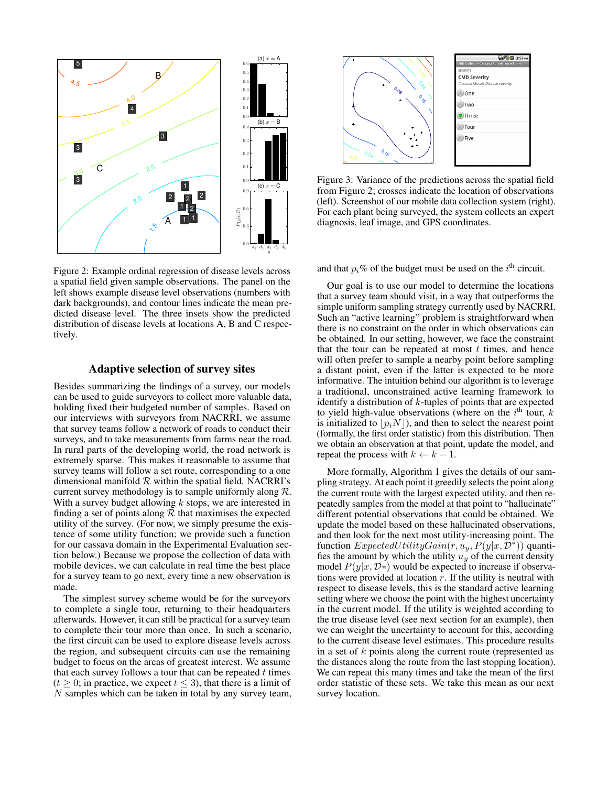

Figure 2: Example ordinal regression of disease levels across a spatial field given sample observations. The panel on the left shows example disease level observations (numbers with dark backgrounds), and contour lines indicate the mean predicted disease level. The three insets show the predicted distribution of disease levels at locations A, B and C respectively.

## Adaptive selection of survey sites

Besides summarizing the findings of a survey, our models can be used to guide surveyors to collect more valuable data, holding fixed their budgeted number of samples. Based on our interviews with surveyors from NACRRI, we assume that survey teams follow a network of roads to conduct their surveys, and to take measurements from farms near the road. In rural parts of the developing world, the road network is extremely sparse. This makes it reasonable to assume that survey teams will follow a set route, corresponding to a one dimensional manifold  $R$  within the spatial field. NACRRI's current survey methodology is to sample uniformly along  $\mathcal{R}$ . With a survey budget allowing  $k$  stops, we are interested in finding a set of points along  $R$  that maximises the expected utility of the survey. (For now, we simply presume the existence of some utility function; we provide such a function for our cassava domain in the Experimental Evaluation section below.) Because we propose the collection of data with mobile devices, we can calculate in real time the best place for a survey team to go next, every time a new observation is made.

The simplest survey scheme would be for the surveyors to complete a single tour, returning to their headquarters afterwards. However, it can still be practical for a survey team to complete their tour more than once. In such a scenario, the first circuit can be used to explore disease levels across the region, and subsequent circuits can use the remaining budget to focus on the areas of greatest interest. We assume that each survey follows a tour that can be repeated  $t$  times  $(t \geq 0;$  in practice, we expect  $t \leq 3$ ), that there is a limit of N samples which can be taken in total by any survey team,



Figure 3: Variance of the predictions across the spatial field from Figure 2; crosses indicate the location of observations (left). Screenshot of our mobile data collection system (right). For each plant being surveyed, the system collects an expert diagnosis, leaf image, and GPS coordinates.

and that  $p_i$ % of the budget must be used on the  $i<sup>th</sup>$  circuit.

Our goal is to use our model to determine the locations that a survey team should visit, in a way that outperforms the simple uniform sampling strategy currently used by NACRRI. Such an "active learning" problem is straightforward when there is no constraint on the order in which observations can be obtained. In our setting, however, we face the constraint that the tour can be repeated at most  $t$  times, and hence will often prefer to sample a nearby point before sampling a distant point, even if the latter is expected to be more informative. The intuition behind our algorithm is to leverage a traditional, unconstrained active learning framework to identify a distribution of  $k$ -tuples of points that are expected to yield high-value observations (where on the  $i<sup>th</sup>$  tour, k is initialized to  $\vert p_iN \vert$ , and then to select the nearest point (formally, the first order statistic) from this distribution. Then we obtain an observation at that point, update the model, and repeat the process with  $k \leftarrow k - 1$ .

More formally, Algorithm 1 gives the details of our sampling strategy. At each point it greedily selects the point along the current route with the largest expected utility, and then repeatedly samples from the model at that point to "hallucinate" different potential observations that could be obtained. We update the model based on these hallucinated observations, and then look for the next most utility-increasing point. The function  $ExpectedUtilityGain(r, u_y, P(y|x, \tilde{\mathcal{D}}^*))$  quantifies the amount by which the utility  $u_y$  of the current density model  $P(y|x, \mathcal{D}*)$  would be expected to increase if observations were provided at location  $r$ . If the utility is neutral with respect to disease levels, this is the standard active learning setting where we choose the point with the highest uncertainty in the current model. If the utility is weighted according to the true disease level (see next section for an example), then we can weight the uncertainty to account for this, according to the current disease level estimates. This procedure results in a set of k points along the current route (represented as the distances along the route from the last stopping location). We can repeat this many times and take the mean of the first order statistic of these sets. We take this mean as our next survey location.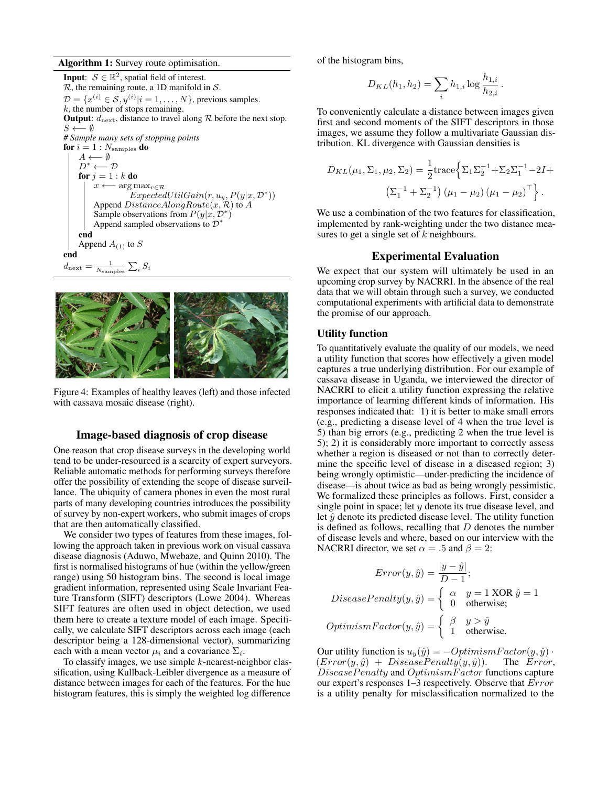#### Algorithm 1: Survey route optimisation.

**Input:**  $S \in \mathbb{R}^2$ , spatial field of interest.  $R$ , the remaining route, a 1D manifold in  $S$ .  $\mathcal{D} = \{x^{(i)} \in \mathcal{S}, y^{(i)} | i = 1, \dots, N\}$ , previous samples.  $k$ , the number of stops remaining. **Output:**  $d_{\text{next}}$ , distance to travel along  $R$  before the next stop.  $S \longleftarrow \emptyset$ *# Sample many sets of stopping points* for  $i=1:N_{\mathrm{samples}}$  do  $A \longleftarrow \emptyset$  $D^* \longleftarrow D$ for  $j = 1 : k$  do  $x \longleftarrow \arg \max_{r \in \mathcal{R}}$  $ExpectedUtilGain(r, u_y, P(y|x, \mathcal{D}^*))$ Append  $DistanceAlongRoute(x, R)$  to  $A$ Sample observations from  $P(y|x, \mathcal{D}^*)$ Append sampled observations to  $\mathcal{D}^*$ end Append  $A_{(1)}$  to  $S$ end  $d_{\text{next}} =$  $\frac{1}{N_{\text{samples}}} \sum_i S_i$ 



Figure 4: Examples of healthy leaves (left) and those infected with cassava mosaic disease (right).

## Image-based diagnosis of crop disease

One reason that crop disease surveys in the developing world tend to be under-resourced is a scarcity of expert surveyors. Reliable automatic methods for performing surveys therefore offer the possibility of extending the scope of disease surveillance. The ubiquity of camera phones in even the most rural parts of many developing countries introduces the possibility of survey by non-expert workers, who submit images of crops that are then automatically classified.

We consider two types of features from these images, following the approach taken in previous work on visual cassava disease diagnosis (Aduwo, Mwebaze, and Quinn 2010). The first is normalised histograms of hue (within the yellow/green range) using 50 histogram bins. The second is local image gradient information, represented using Scale Invariant Feature Transform (SIFT) descriptors (Lowe 2004). Whereas SIFT features are often used in object detection, we used them here to create a texture model of each image. Specifically, we calculate SIFT descriptors across each image (each descriptor being a 128-dimensional vector), summarizing each with a mean vector  $\mu_i$  and a covariance  $\Sigma_i$ .

To classify images, we use simple  $k$ -nearest-neighbor classification, using Kullback-Leibler divergence as a measure of distance between images for each of the features. For the hue histogram features, this is simply the weighted log difference of the histogram bins,

$$
D_{KL}(h_1, h_2) = \sum_{i} h_{1,i} \log \frac{h_{1,i}}{h_{2,i}}
$$

.

To conveniently calculate a distance between images given first and second moments of the SIFT descriptors in those images, we assume they follow a multivariate Gaussian distribution. KL divergence with Gaussian densities is

$$
D_{KL}(\mu_1, \Sigma_1, \mu_2, \Sigma_2) = \frac{1}{2} \text{trace} \Big\{ \Sigma_1 \Sigma_2^{-1} + \Sigma_2 \Sigma_1^{-1} - 2I + \left( \Sigma_1^{-1} + \Sigma_2^{-1} \right) (\mu_1 - \mu_2) (\mu_1 - \mu_2)^\top \Big\}.
$$

We use a combination of the two features for classification, implemented by rank-weighting under the two distance measures to get a single set of  $k$  neighbours.

## Experimental Evaluation

We expect that our system will ultimately be used in an upcoming crop survey by NACRRI. In the absence of the real data that we will obtain through such a survey, we conducted computational experiments with artificial data to demonstrate the promise of our approach.

#### Utility function

To quantitatively evaluate the quality of our models, we need a utility function that scores how effectively a given model captures a true underlying distribution. For our example of cassava disease in Uganda, we interviewed the director of NACRRI to elicit a utility function expressing the relative importance of learning different kinds of information. His responses indicated that: 1) it is better to make small errors (e.g., predicting a disease level of 4 when the true level is 5) than big errors (e.g., predicting 2 when the true level is 5); 2) it is considerably more important to correctly assess whether a region is diseased or not than to correctly determine the specific level of disease in a diseased region; 3) being wrongly optimistic—under-predicting the incidence of disease—is about twice as bad as being wrongly pessimistic. We formalized these principles as follows. First, consider a single point in space; let  $y$  denote its true disease level, and let  $\hat{y}$  denote its predicted disease level. The utility function is defined as follows, recalling that  $D$  denotes the number of disease levels and where, based on our interview with the NACRRI director, we set  $\alpha = .5$  and  $\beta = 2$ :

$$
Error(y, \hat{y}) = \frac{|y - \hat{y}|}{D - 1};
$$
  
 
$$
DiseasePenalty(y, \hat{y}) = \begin{cases} \alpha & y = 1 \text{ XOR } \hat{y} = 1\\ 0 & \text{otherwise}; \end{cases}
$$
  
 
$$
OptimismFactor(y, \hat{y}) = \begin{cases} \beta & y > \hat{y} \\ 1 & \text{otherwise}. \end{cases}
$$

Our utility function is  $u_y(\hat{y}) = -OptimismFactor(y, \hat{y}) \cdot (Error(y, \hat{y}) + DiseasePenalty(y, \hat{y}))$ . The Error,  $(Error(y, \hat{y}) + DiseasePenalty(y, \hat{y})).$ DiseasePenalty and OptimismFactor functions capture our expert's responses 1–3 respectively. Observe that Error is a utility penalty for misclassification normalized to the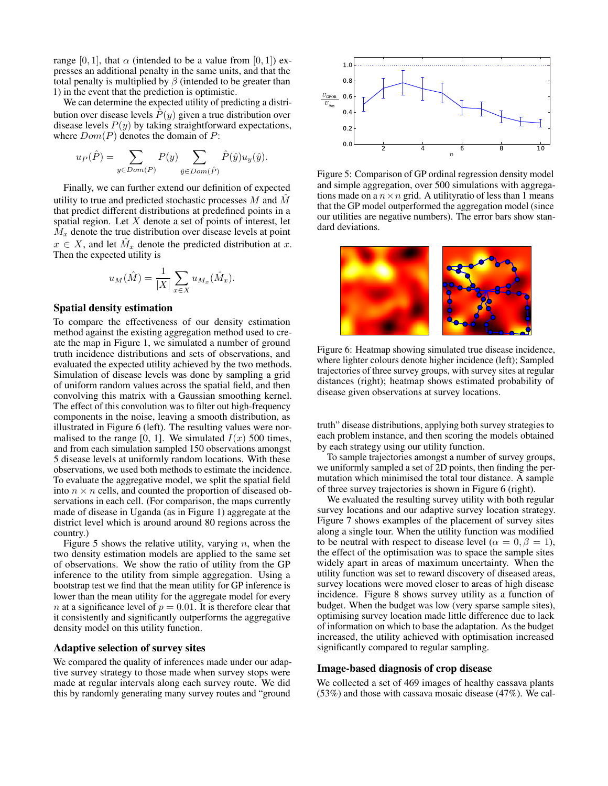range [0, 1], that  $\alpha$  (intended to be a value from [0, 1]) expresses an additional penalty in the same units, and that the total penalty is multiplied by  $\beta$  (intended to be greater than 1) in the event that the prediction is optimistic.

We can determine the expected utility of predicting a distribution over disease levels  $P(y)$  given a true distribution over disease levels  $P(y)$  by taking straightforward expectations, where  $Dom(P)$  denotes the domain of P:

$$
u_P(\hat{P}) = \sum_{y \in Dom(P)} P(y) \sum_{\hat{y} \in Dom(\hat{P})} \hat{P}(\hat{y}) u_y(\hat{y}).
$$

Finally, we can further extend our definition of expected utility to true and predicted stochastic processes  $M$  and  $\hat{M}$ that predict different distributions at predefined points in a spatial region. Let  $X$  denote a set of points of interest, let  $M_x$  denote the true distribution over disease levels at point  $x \in X$ , and let  $\hat{M}_x$  denote the predicted distribution at x. Then the expected utility is

$$
u_M(\hat{M}) = \frac{1}{|X|} \sum_{x \in X} u_{M_x}(\hat{M}_x).
$$

## Spatial density estimation

To compare the effectiveness of our density estimation method against the existing aggregation method used to create the map in Figure 1, we simulated a number of ground truth incidence distributions and sets of observations, and evaluated the expected utility achieved by the two methods. Simulation of disease levels was done by sampling a grid of uniform random values across the spatial field, and then convolving this matrix with a Gaussian smoothing kernel. The effect of this convolution was to filter out high-frequency components in the noise, leaving a smooth distribution, as illustrated in Figure 6 (left). The resulting values were normalised to the range [0, 1]. We simulated  $I(x)$  500 times, and from each simulation sampled 150 observations amongst 5 disease levels at uniformly random locations. With these observations, we used both methods to estimate the incidence. To evaluate the aggregative model, we split the spatial field into  $n \times n$  cells, and counted the proportion of diseased observations in each cell. (For comparison, the maps currently made of disease in Uganda (as in Figure 1) aggregate at the district level which is around around 80 regions across the country.)

Figure 5 shows the relative utility, varying  $n$ , when the two density estimation models are applied to the same set of observations. We show the ratio of utility from the GP inference to the utility from simple aggregation. Using a bootstrap test we find that the mean utility for GP inference is lower than the mean utility for the aggregate model for every *n* at a significance level of  $p = 0.01$ . It is therefore clear that it consistently and significantly outperforms the aggregative density model on this utility function.

#### Adaptive selection of survey sites

We compared the quality of inferences made under our adaptive survey strategy to those made when survey stops were made at regular intervals along each survey route. We did this by randomly generating many survey routes and "ground



Figure 5: Comparison of GP ordinal regression density model and simple aggregation, over 500 simulations with aggregations made on a  $n \times n$  grid. A utilityratio of less than 1 means that the GP model outperformed the aggregation model (since our utilities are negative numbers). The error bars show standard deviations.



Figure 6: Heatmap showing simulated true disease incidence, where lighter colours denote higher incidence (left); Sampled trajectories of three survey groups, with survey sites at regular distances (right); heatmap shows estimated probability of disease given observations at survey locations.

truth" disease distributions, applying both survey strategies to each problem instance, and then scoring the models obtained by each strategy using our utility function.

To sample trajectories amongst a number of survey groups, we uniformly sampled a set of 2D points, then finding the permutation which minimised the total tour distance. A sample of three survey trajectories is shown in Figure 6 (right).

We evaluated the resulting survey utility with both regular survey locations and our adaptive survey location strategy. Figure 7 shows examples of the placement of survey sites along a single tour. When the utility function was modified to be neutral with respect to disease level ( $\alpha = 0, \beta = 1$ ), the effect of the optimisation was to space the sample sites widely apart in areas of maximum uncertainty. When the utility function was set to reward discovery of diseased areas, survey locations were moved closer to areas of high disease incidence. Figure 8 shows survey utility as a function of budget. When the budget was low (very sparse sample sites), optimising survey location made little difference due to lack of information on which to base the adaptation. As the budget increased, the utility achieved with optimisation increased significantly compared to regular sampling.

## Image-based diagnosis of crop disease

We collected a set of 469 images of healthy cassava plants (53%) and those with cassava mosaic disease (47%). We cal-